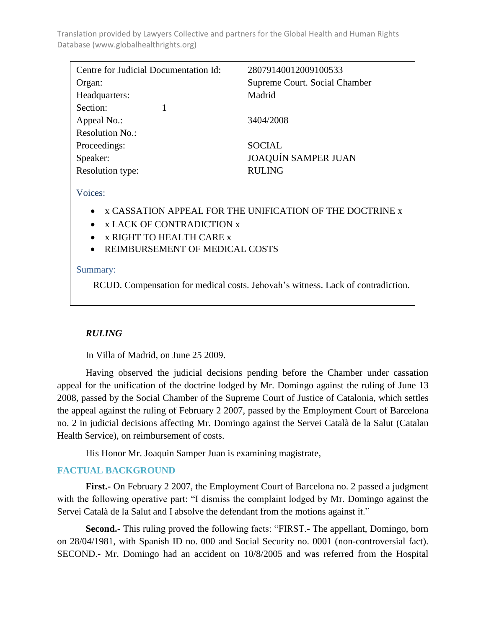| Centre for Judicial Documentation Id: | 28079140012009100533          |
|---------------------------------------|-------------------------------|
| Organ:                                | Supreme Court. Social Chamber |
| Headquarters:                         | Madrid                        |
| Section:                              |                               |
| Appeal No.:                           | 3404/2008                     |
| Resolution No.:                       |                               |
| Proceedings:                          | <b>SOCIAL</b>                 |
| Speaker:                              | <b>JOAQUÍN SAMPER JUAN</b>    |
| Resolution type:                      | <b>RULING</b>                 |
|                                       |                               |

Voices:

- x CASSATION APPEAL FOR THE UNIFICATION OF THE DOCTRINE x
- x LACK OF CONTRADICTION **x**
- x RIGHT TO HEALTH CARE x
- REIMBURSEMENT OF MEDICAL COSTS

### Summary:

RCUD. Compensation for medical costs. Jehovah's witness. Lack of contradiction.

# *RULING*

In Villa of Madrid, on June 25 2009.

Having observed the judicial decisions pending before the Chamber under cassation appeal for the unification of the doctrine lodged by Mr. Domingo against the ruling of June 13 2008, passed by the Social Chamber of the Supreme Court of Justice of Catalonia, which settles the appeal against the ruling of February 2 2007, passed by the Employment Court of Barcelona no. 2 in judicial decisions affecting Mr. Domingo against the Servei Català de la Salut (Catalan Health Service), on reimbursement of costs.

His Honor Mr. Joaquin Samper Juan is examining magistrate,

# **FACTUAL BACKGROUND**

**First.-** On February 2 2007, the Employment Court of Barcelona no. 2 passed a judgment with the following operative part: "I dismiss the complaint lodged by Mr. Domingo against the Servei Català de la Salut and I absolve the defendant from the motions against it."

**Second.**- This ruling proved the following facts: "FIRST.- The appellant, Domingo, born on 28/04/1981, with Spanish ID no. 000 and Social Security no. 0001 (non-controversial fact). SECOND.- Mr. Domingo had an accident on 10/8/2005 and was referred from the Hospital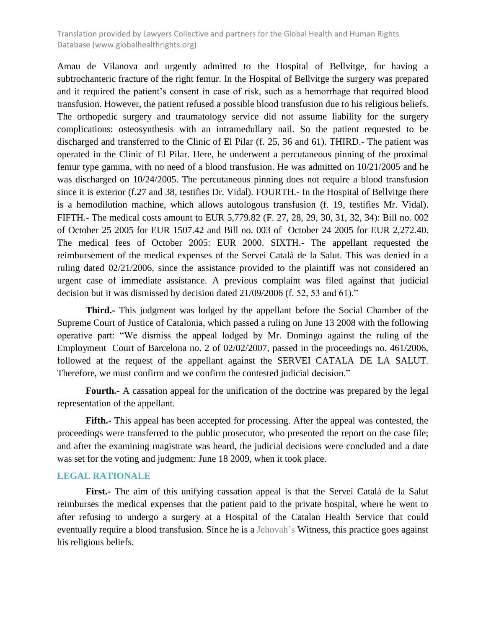Amau de Vilanova and urgently admitted to the Hospital of Bellvitge, for having a subtrochanteric fracture of the right femur. In the Hospital of Bellvitge the surgery was prepared and it required the patient's consent in case of risk, such as a hemorrhage that required blood transfusion. However, the patient refused a possible blood transfusion due to his religious beliefs. The orthopedic surgery and traumatology service did not assume liability for the surgery complications: osteosynthesis with an intramedullary nail. So the patient requested to be discharged and transferred to the Clinic of El Pilar (f. 25, 36 and 61). THIRD.- The patient was operated in the Clinic of El Pilar. Here, he underwent a percutaneous pinning of the proximal femur type gamma, with no need of a blood transfusion. He was admitted on 10/21/2005 and he was discharged on 10/24/2005. The percutaneous pinning does not require a blood transfusion since it is exterior (f.27 and 38, testifies Dr. Vidal). FOURTH.- In the Hospital of Bellvitge there is a hemodilution machine, which allows autologous transfusion (f. 19, testifies Mr. Vidal). FIFTH.- The medical costs amount to EUR 5,779.82 (F. 27, 28, 29, 30, 31, 32, 34): Bill no. 002 of October 25 2005 for EUR 1507.42 and Bill no. 003 of October 24 2005 for EUR 2,272.40. The medical fees of October 2005: EUR 2000. SIXTH.- The appellant requested the reimbursement of the medical expenses of the Servei Català de la Salut. This was denied in a ruling dated 02/21/2006, since the assistance provided to the plaintiff was not considered an urgent case of immediate assistance. A previous complaint was filed against that judicial decision but it was dismissed by decision dated 21/09/2006 (f. 52, 53 and 61)."

**Third.-** This judgment was lodged by the appellant before the Social Chamber of the Supreme Court of Justice of Catalonia, which passed a ruling on June 13 2008 with the following operative part: "We dismiss the appeal lodged by Mr. Domingo against the ruling of the Employment Court of Barcelona no. 2 of 02/02/2007, passed in the proceedings no. 461/2006, followed at the request of the appellant against the SERVEI CATALA DE LA SALUT. Therefore, we must confirm and we confirm the contested judicial decision."

**Fourth.-** A cassation appeal for the unification of the doctrine was prepared by the legal representation of the appellant.

**Fifth.-** This appeal has been accepted for processing. After the appeal was contested, the proceedings were transferred to the public prosecutor, who presented the report on the case file; and after the examining magistrate was heard, the judicial decisions were concluded and a date was set for the voting and judgment: June 18 2009, when it took place.

#### **LEGAL RATIONALE**

**First.-** The aim of this unifying cassation appeal is that the Servei Catalá de la Salut reimburses the medical expenses that the patient paid to the private hospital, where he went to after refusing to undergo a surgery at a Hospital of the Catalan Health Service that could eventually require a blood transfusion. Since he is a Jehovah's Witness, this practice goes against his religious beliefs.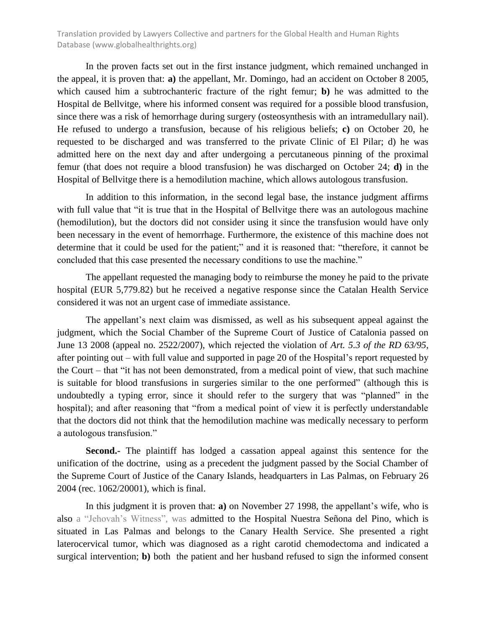In the proven facts set out in the first instance judgment, which remained unchanged in the appeal, it is proven that: **a)** the appellant, Mr. Domingo, had an accident on October 8 2005, which caused him a subtrochanteric fracture of the right femur; **b)** he was admitted to the Hospital de Bellvitge, where his informed consent was required for a possible blood transfusion, since there was a risk of hemorrhage during surgery (osteosynthesis with an intramedullary nail). He refused to undergo a transfusion, because of his religious beliefs; **c)** on October 20, he requested to be discharged and was transferred to the private Clinic of El Pilar; d) he was admitted here on the next day and after undergoing a percutaneous pinning of the proximal femur (that does not require a blood transfusion) he was discharged on October 24; **d)** in the Hospital of Bellvitge there is a hemodilution machine, which allows autologous transfusion.

In addition to this information, in the second legal base, the instance judgment affirms with full value that "it is true that in the Hospital of Bellvitge there was an autologous machine (hemodilution), but the doctors did not consider using it since the transfusion would have only been necessary in the event of hemorrhage. Furthermore, the existence of this machine does not determine that it could be used for the patient;" and it is reasoned that: "therefore, it cannot be concluded that this case presented the necessary conditions to use the machine."

The appellant requested the managing body to reimburse the money he paid to the private hospital (EUR 5,779.82) but he received a negative response since the Catalan Health Service considered it was not an urgent case of immediate assistance.

The appellant's next claim was dismissed, as well as his subsequent appeal against the judgment, which the Social Chamber of the Supreme Court of Justice of Catalonia passed on June 13 2008 (appeal no. 2522/2007), which rejected the violation of *Art. 5.3 of the RD 63/95*, after pointing out – with full value and supported in page 20 of the Hospital's report requested by the Court – that "it has not been demonstrated, from a medical point of view, that such machine is suitable for blood transfusions in surgeries similar to the one performed" (although this is undoubtedly a typing error, since it should refer to the surgery that was "planned" in the hospital); and after reasoning that "from a medical point of view it is perfectly understandable that the doctors did not think that the hemodilution machine was medically necessary to perform a autologous transfusion."

**Second.-** The plaintiff has lodged a cassation appeal against this sentence for the unification of the doctrine, using as a precedent the judgment passed by the Social Chamber of the Supreme Court of Justice of the Canary Islands, headquarters in Las Palmas, on February 26 2004 (rec. 1062/20001), which is final.

In this judgment it is proven that: **a)** on November 27 1998, the appellant's wife, who is also a "Jehovah's Witness", was admitted to the Hospital Nuestra Señona del Pino, which is situated in Las Palmas and belongs to the Canary Health Service. She presented a right laterocervical tumor, which was diagnosed as a right carotid chemodectoma and indicated a surgical intervention; **b)** both the patient and her husband refused to sign the informed consent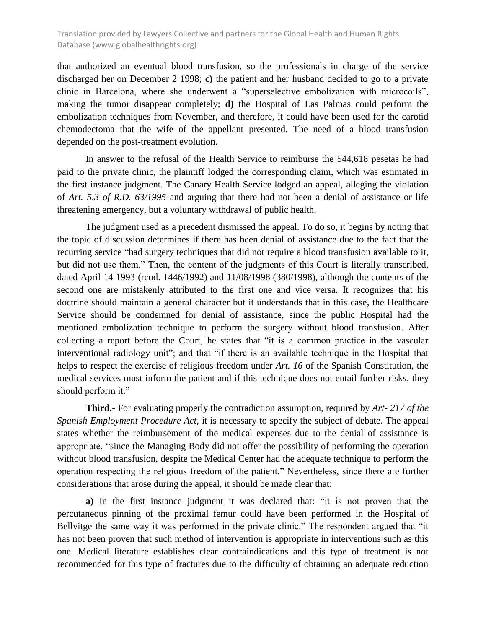that authorized an eventual blood transfusion, so the professionals in charge of the service discharged her on December 2 1998; **c)** the patient and her husband decided to go to a private clinic in Barcelona, where she underwent a "superselective embolization with microcoils", making the tumor disappear completely; **d)** the Hospital of Las Palmas could perform the embolization techniques from November, and therefore, it could have been used for the carotid chemodectoma that the wife of the appellant presented. The need of a blood transfusion depended on the post-treatment evolution.

In answer to the refusal of the Health Service to reimburse the 544,618 pesetas he had paid to the private clinic, the plaintiff lodged the corresponding claim, which was estimated in the first instance judgment. The Canary Health Service lodged an appeal, alleging the violation of *Art. 5.3 of R.D. 63/1995* and arguing that there had not been a denial of assistance or life threatening emergency, but a voluntary withdrawal of public health.

The judgment used as a precedent dismissed the appeal. To do so, it begins by noting that the topic of discussion determines if there has been denial of assistance due to the fact that the recurring service "had surgery techniques that did not require a blood transfusion available to it, but did not use them." Then, the content of the judgments of this Court is literally transcribed, dated April 14 1993 (rcud. 1446/1992) and 11/08/1998 (380/1998), although the contents of the second one are mistakenly attributed to the first one and vice versa. It recognizes that his doctrine should maintain a general character but it understands that in this case, the Healthcare Service should be condemned for denial of assistance, since the public Hospital had the mentioned embolization technique to perform the surgery without blood transfusion. After collecting a report before the Court, he states that "it is a common practice in the vascular interventional radiology unit"; and that "if there is an available technique in the Hospital that helps to respect the exercise of religious freedom under *Art. 16* of the Spanish Constitution, the medical services must inform the patient and if this technique does not entail further risks, they should perform it."

**Third.-** For evaluating properly the contradiction assumption, required by *Art- 217 of the Spanish Employment Procedure Act,* it is necessary to specify the subject of debate. The appeal states whether the reimbursement of the medical expenses due to the denial of assistance is appropriate, "since the Managing Body did not offer the possibility of performing the operation without blood transfusion, despite the Medical Center had the adequate technique to perform the operation respecting the religious freedom of the patient." Nevertheless, since there are further considerations that arose during the appeal, it should be made clear that:

**a)** In the first instance judgment it was declared that: "it is not proven that the percutaneous pinning of the proximal femur could have been performed in the Hospital of Bellvitge the same way it was performed in the private clinic." The respondent argued that "it has not been proven that such method of intervention is appropriate in interventions such as this one. Medical literature establishes clear contraindications and this type of treatment is not recommended for this type of fractures due to the difficulty of obtaining an adequate reduction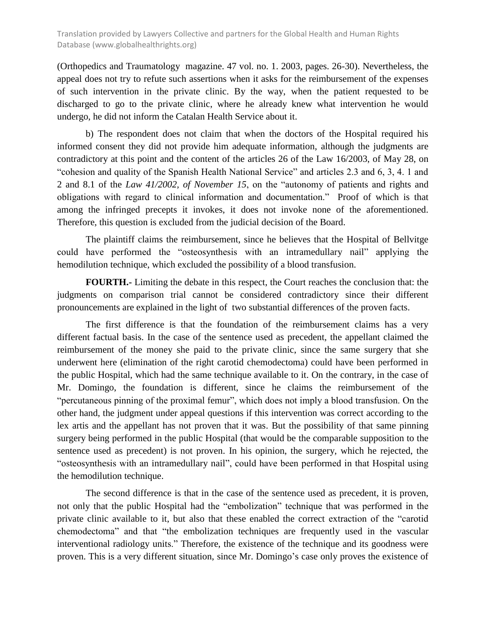(Orthopedics and Traumatology magazine. 47 vol. no. 1. 2003, pages. 26-30). Nevertheless, the appeal does not try to refute such assertions when it asks for the reimbursement of the expenses of such intervention in the private clinic. By the way, when the patient requested to be discharged to go to the private clinic, where he already knew what intervention he would undergo, he did not inform the Catalan Health Service about it.

b) The respondent does not claim that when the doctors of the Hospital required his informed consent they did not provide him adequate information, although the judgments are contradictory at this point and the content of the articles 26 of the Law 16/2003, of May 28, on "cohesion and quality of the Spanish Health National Service" and articles 2.3 and 6, 3, 4. 1 and 2 and 8.1 of the *Law 41/2002, of November 15*, on the "autonomy of patients and rights and obligations with regard to clinical information and documentation." Proof of which is that among the infringed precepts it invokes, it does not invoke none of the aforementioned. Therefore, this question is excluded from the judicial decision of the Board.

The plaintiff claims the reimbursement, since he believes that the Hospital of Bellvitge could have performed the "osteosynthesis with an intramedullary nail" applying the hemodilution technique, which excluded the possibility of a blood transfusion.

**FOURTH.-** Limiting the debate in this respect, the Court reaches the conclusion that: the judgments on comparison trial cannot be considered contradictory since their different pronouncements are explained in the light of two substantial differences of the proven facts.

The first difference is that the foundation of the reimbursement claims has a very different factual basis. In the case of the sentence used as precedent, the appellant claimed the reimbursement of the money she paid to the private clinic, since the same surgery that she underwent here (elimination of the right carotid chemodectoma) could have been performed in the public Hospital, which had the same technique available to it. On the contrary, in the case of Mr. Domingo, the foundation is different, since he claims the reimbursement of the "percutaneous pinning of the proximal femur", which does not imply a blood transfusion. On the other hand, the judgment under appeal questions if this intervention was correct according to the lex artis and the appellant has not proven that it was. But the possibility of that same pinning surgery being performed in the public Hospital (that would be the comparable supposition to the sentence used as precedent) is not proven. In his opinion, the surgery, which he rejected, the "osteosynthesis with an intramedullary nail", could have been performed in that Hospital using the hemodilution technique.

The second difference is that in the case of the sentence used as precedent, it is proven, not only that the public Hospital had the "embolization" technique that was performed in the private clinic available to it, but also that these enabled the correct extraction of the "carotid chemodectoma" and that "the embolization techniques are frequently used in the vascular interventional radiology units." Therefore, the existence of the technique and its goodness were proven. This is a very different situation, since Mr. Domingo's case only proves the existence of